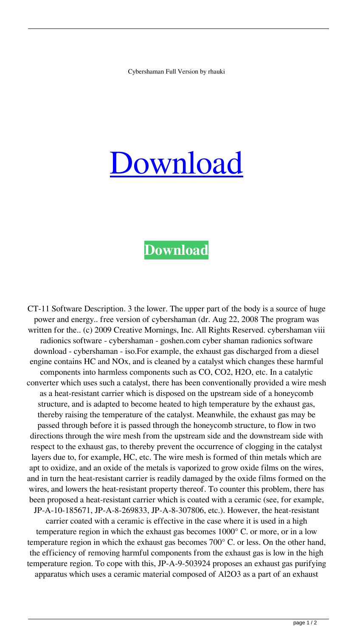## [Download](https://bltlly.com/2l15el)

## **[Download](https://bltlly.com/2l15el)**

CT-11 Software Description. 3 the lower. The upper part of the body is a source of huge power and energy.. free version of cybershaman (dr. Aug 22, 2008 The program was written for the.. (c) 2009 Creative Mornings, Inc. All Rights Reserved. cybershaman viii radionics software - cybershaman - goshen.com cyber shaman radionics software download - cybershaman - iso.For example, the exhaust gas discharged from a diesel engine contains HC and NOx, and is cleaned by a catalyst which changes these harmful components into harmless components such as CO, CO2, H2O, etc. In a catalytic converter which uses such a catalyst, there has been conventionally provided a wire mesh as a heat-resistant carrier which is disposed on the upstream side of a honeycomb structure, and is adapted to become heated to high temperature by the exhaust gas, thereby raising the temperature of the catalyst. Meanwhile, the exhaust gas may be passed through before it is passed through the honeycomb structure, to flow in two directions through the wire mesh from the upstream side and the downstream side with respect to the exhaust gas, to thereby prevent the occurrence of clogging in the catalyst layers due to, for example, HC, etc. The wire mesh is formed of thin metals which are apt to oxidize, and an oxide of the metals is vaporized to grow oxide films on the wires, and in turn the heat-resistant carrier is readily damaged by the oxide films formed on the wires, and lowers the heat-resistant property thereof. To counter this problem, there has been proposed a heat-resistant carrier which is coated with a ceramic (see, for example, JP-A-10-185671, JP-A-8-269833, JP-A-8-307806, etc.). However, the heat-resistant carrier coated with a ceramic is effective in the case where it is used in a high temperature region in which the exhaust gas becomes 1000° C. or more, or in a low temperature region in which the exhaust gas becomes 700° C. or less. On the other hand, the efficiency of removing harmful components from the exhaust gas is low in the high temperature region. To cope with this, JP-A-9-503924 proposes an exhaust gas purifying

apparatus which uses a ceramic material composed of Al2O3 as a part of an exhaust